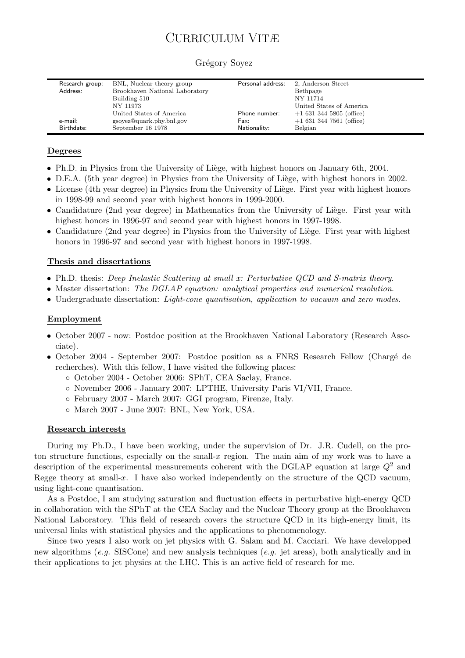# CURRICULUM VITÆ

| 2, Anderson Street       |
|--------------------------|
| Bethpage                 |
| NY 11714                 |
| United States of America |
| $+16313445805$ (office)  |
| $+16313447561$ (office)  |
|                          |
|                          |

#### Grégory Soyez

### Degrees

- Ph.D. in Physics from the University of Liège, with highest honors on January 6th, 2004.
- D.E.A. (5th year degree) in Physics from the University of Liège, with highest honors in 2002.
- License (4th year degree) in Physics from the University of Liège. First year with highest honors in 1998-99 and second year with highest honors in 1999-2000.
- Candidature (2nd year degree) in Mathematics from the University of Liège. First year with highest honors in 1996-97 and second year with highest honors in 1997-1998.
- Candidature (2nd year degree) in Physics from the University of Liège. First year with highest honors in 1996-97 and second year with highest honors in 1997-1998.

#### Thesis and dissertations

- Ph.D. thesis: *Deep Inelastic Scattering at small x: Perturbative QCD and S-matrix theory*.
- Master dissertation: *The DGLAP equation: analytical properties and numerical resolution*.
- Undergraduate dissertation: *Light-cone quantisation, application to vacuum and zero modes*.

#### Employment

- October 2007 now: Postdoc position at the Brookhaven National Laboratory (Research Associate).
- October 2004 September 2007: Postdoc position as a FNRS Research Fellow (Chargé de recherches). With this fellow, I have visited the following places:
	- October 2004 October 2006: SPhT, CEA Saclay, France.
	- November 2006 January 2007: LPTHE, University Paris VI/VII, France.
	- February 2007 March 2007: GGI program, Firenze, Italy.
	- March 2007 June 2007: BNL, New York, USA.

#### Research interests

During my Ph.D., I have been working, under the supervision of Dr. J.R. Cudell, on the proton structure functions, especially on the small- $x$  region. The main aim of my work was to have a description of the experimental measurements coherent with the DGLAP equation at large  $Q^2$  and Regge theory at small-x. I have also worked independently on the structure of the QCD vacuum, using light-cone quantisation.

As a Postdoc, I am studying saturation and fluctuation effects in perturbative high-energy QCD in collaboration with the SPhT at the CEA Saclay and the Nuclear Theory group at the Brookhaven National Laboratory. This field of research covers the structure QCD in its high-energy limit, its universal links with statistical physics and the applications to phenomenology.

Since two years I also work on jet physics with G. Salam and M. Cacciari. We have developped new algorithms (*e.g.* SISCone) and new analysis techniques (*e.g.* jet areas), both analytically and in their applications to jet physics at the LHC. This is an active field of research for me.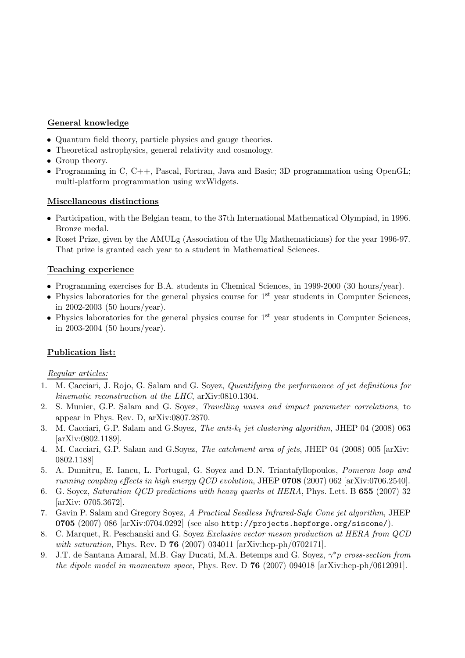# General knowledge

- Quantum field theory, particle physics and gauge theories.
- Theoretical astrophysics, general relativity and cosmology.
- Group theory.
- Programming in C, C++, Pascal, Fortran, Java and Basic; 3D programmation using OpenGL; multi-platform programmation using wxWidgets.

# Miscellaneous distinctions

- Participation, with the Belgian team, to the 37th International Mathematical Olympiad, in 1996. Bronze medal.
- Roset Prize, given by the AMULg (Association of the Ulg Mathematicians) for the year 1996-97. That prize is granted each year to a student in Mathematical Sciences.

# Teaching experience

- Programming exercises for B.A. students in Chemical Sciences, in 1999-2000 (30 hours/year).
- Physics laboratories for the general physics course for  $1<sup>st</sup>$  year students in Computer Sciences, in 2002-2003 (50 hours/year).
- Physics laboratories for the general physics course for  $1<sup>st</sup>$  year students in Computer Sciences, in 2003-2004 (50 hours/year).

# Publication list:

# *Regular articles:*

- 1. M. Cacciari, J. Rojo, G. Salam and G. Soyez, *Quantifying the performance of jet definitions for kinematic reconstruction at the LHC*, arXiv:0810.1304.
- 2. S. Munier, G.P. Salam and G. Soyez, *Travelling waves and impact parameter correlations*, to appear in Phys. Rev. D, arXiv:0807.2870.
- 3. M. Cacciari, G.P. Salam and G.Soyez, *The anti-*kt *jet clustering algorithm*, JHEP 04 (2008) 063 [arXiv:0802.1189].
- 4. M. Cacciari, G.P. Salam and G.Soyez, *The catchment area of jets*, JHEP 04 (2008) 005 [arXiv: 0802.1188]
- 5. A. Dumitru, E. Iancu, L. Portugal, G. Soyez and D.N. Triantafyllopoulos, *Pomeron loop and running coupling effects in high energy QCD evolution*, JHEP 0708 (2007) 062 [arXiv:0706.2540].
- 6. G. Soyez, *Saturation QCD predictions with heavy quarks at HERA*, Phys. Lett. B 655 (2007) 32 [arXiv: 0705.3672].
- 7. Gavin P. Salam and Gregory Soyez, *A Practical Seedless Infrared-Safe Cone jet algorithm*, JHEP 0705 (2007) 086 [arXiv:0704.0292] (see also http://projects.hepforge.org/siscone/).
- 8. C. Marquet, R. Peschanski and G. Soyez *Exclusive vector meson production at HERA from QCD with saturation*, Phys. Rev. D 76 (2007) 034011 [arXiv:hep-ph/0702171].
- 9. J.T. de Santana Amaral, M.B. Gay Ducati, M.A. Betemps and G. Soyez, γ <sup>∗</sup>p *cross-section from the dipole model in momentum space*, Phys. Rev. D 76 (2007) 094018 [arXiv:hep-ph/0612091].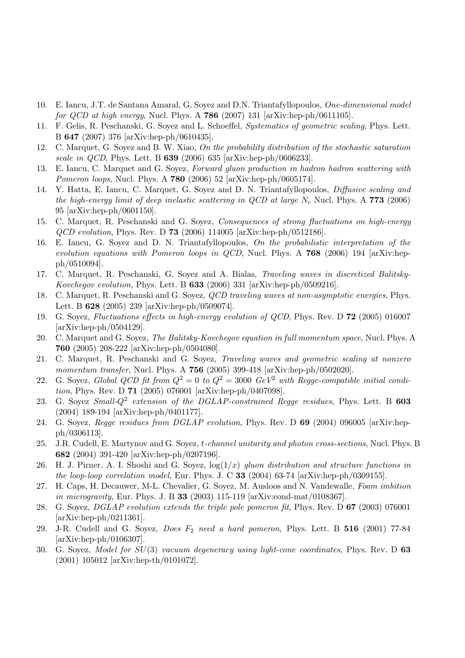- 10. E. Iancu, J.T. de Santana Amaral, G. Soyez and D.N. Triantafyllopoulos, *One-dimensional model for QCD at high energy*, Nucl. Phys. A 786 (2007) 131 [arXiv:hep-ph/0611105].
- 11. F. Gelis, R. Peschanski, G. Soyez and L. Schoeffel, *Systematics of geometric scaling*, Phys. Lett. B 647 (2007) 376 [arXiv:hep-ph/0610435].
- 12. C. Marquet, G. Soyez and B. W. Xiao, *On the probability distribution of the stochastic saturation scale in QCD*, Phys. Lett. B 639 (2006) 635 [arXiv:hep-ph/0606233].
- 13. E. Iancu, C. Marquet and G. Soyez, *Forward gluon production in hadron hadron scattering with Pomeron loops*, Nucl. Phys. A 780 (2006) 52 [arXiv:hep-ph/0605174].
- 14. Y. Hatta, E. Iancu, C. Marquet, G. Soyez and D. N. Triantafyllopoulos, *Diffusive scaling and the high-energy limit of deep inelastic scattering in*  $QCD$  *at large*  $N_c$  Nucl. Phys. A 773 (2006) 95 [arXiv:hep-ph/0601150].
- 15. C. Marquet, R. Peschanski and G. Soyez, *Consequences of strong fluctuations on high-energy QCD evolution*, Phys. Rev. D 73 (2006) 114005 [arXiv:hep-ph/0512186].
- 16. E. Iancu, G. Soyez and D. N. Triantafyllopoulos, *On the probabilistic interpretation of the evolution equations with Pomeron loops in QCD*, Nucl. Phys. A 768 (2006) 194 [arXiv:hepph/0510094].
- 17. C. Marquet, R. Peschanski, G. Soyez and A. Bialas, *Traveling waves in discretized Balitsky-Kovchegov evolution*, Phys. Lett. B 633 (2006) 331 [arXiv:hep-ph/0509216].
- 18. C. Marquet, R. Peschanski and G. Soyez, *QCD traveling waves at non-asymptotic energies*, Phys. Lett. B 628 (2005) 239 [arXiv:hep-ph/0509074].
- 19. G. Soyez, *Fluctuations effects in high-energy evolution of QCD*, Phys. Rev. D 72 (2005) 016007 [arXiv:hep-ph/0504129].
- 20. C. Marquet and G. Soyez, *The Balitsky-Kovchegov equation in full momentum space*, Nucl. Phys. A 760 (2005) 208-222 [arXiv:hep-ph/0504080].
- 21. C. Marquet, R. Peschanski and G. Soyez, *Traveling waves and geometric scaling at nonzero momentum transfer*, Nucl. Phys. A 756 (2005) 399-418 [arXiv:hep-ph/0502020].
- 22. G. Soyez, *Global QCD fit from*  $Q^2 = 0$  to  $Q^2 = 3000$   $GeV^2$  *with Regge-compatible initial condition*, Phys. Rev. D 71 (2005) 076001 [arXiv:hep-ph/0407098].
- 23. G. Soyez *Small-*Q<sup>2</sup> *extension of the DGLAP-constrained Regge residues*, Phys. Lett. B 603 (2004) 189-194 [arXiv:hep-ph/0401177].
- 24. G. Soyez, *Regge residues from DGLAP evolution*, Phys. Rev. D 69 (2004) 096005 [arXiv:hepph/0306113].
- 25. J.R. Cudell, E. Martynov and G. Soyez, t*-channel unitarity and photon cross-sections*, Nucl. Phys. B 682 (2004) 391-420 [arXiv:hep-ph/0207196].
- 26. H. J. Pirner, A. I. Shoshi and G. Soyez, log(1/x) *gluon distribution and structure functions in the loop-loop correlation model*, Eur. Phys. J. C 33 (2004) 63-74 [arXiv:hep-ph/0309155].
- 27. H. Caps, H. Decauwer, M-L. Chevalier, G. Soyez, M. Ausloos and N. Vandewalle, *Foam imbition in microgravity*, Eur. Phys. J. B 33 (2003) 115-119 [arXiv:cond-mat/0108367].
- 28. G. Soyez, *DGLAP evolution extends the triple pole pomeron fit*, Phys. Rev. D 67 (2003) 076001 [arXiv:hep-ph/0211361].
- 29. J-R. Cudell and G. Soyez, *Does* F<sup>2</sup> *need a hard pomeron*, Phys. Lett. B 516 (2001) 77-84 [arXiv:hep-ph/0106307].
- 30. G. Soyez, *Model for* SU(3) *vacuum degeneracy using light-cone coordinates*, Phys. Rev. D 63 (2001) 105012 [arXiv:hep-th/0101072].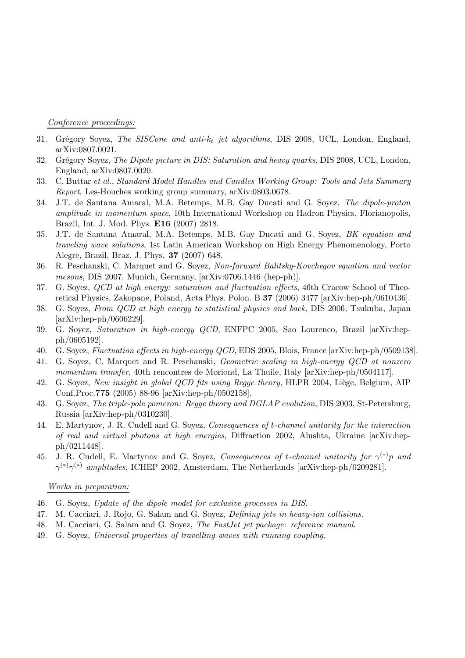*Conference proceedings:*

- 31. Grégory Soyez, *The SISCone and anti-k<sub>t</sub> jet algorithms*, DIS 2008, UCL, London, England, arXiv:0807.0021.
- 32. Gr´egory Soyez, *The Dipole picture in DIS: Saturation and heavy quarks*, DIS 2008, UCL, London, England, arXiv:0807.0020.
- 33. C. Buttar *et al.*, *Standard Model Handles and Candles Working Group: Tools and Jets Summary Report*, Les-Houches working group summary, arXiv:0803.0678.
- 34. J.T. de Santana Amaral, M.A. Betemps, M.B. Gay Ducati and G. Soyez, *The dipole-proton amplitude in momentum space*, 10th International Workshop on Hadron Physics, Florianopolis, Brazil, Int. J. Mod. Phys. E16 (2007) 2818.
- 35. J.T. de Santana Amaral, M.A. Betemps, M.B. Gay Ducati and G. Soyez, *BK equation and traveling wave solutions*, 1st Latin American Workshop on High Energy Phenomenology, Porto Alegre, Brazil, Braz. J. Phys. 37 (2007) 648.
- 36. R. Peschanski, C. Marquet and G. Soyez, *Non-forward Balitsky-Kovchegov equation and vector mesons*, DIS 2007, Munich, Germany, [arXiv:0706.1446 (hep-ph)].
- 37. G. Soyez, *QCD at high energy: saturation and fluctuation effects*, 46th Cracow School of Theoretical Physics, Zakopane, Poland, Acta Phys. Polon. B 37 (2006) 3477 [arXiv:hep-ph/0610436].
- 38. G. Soyez, *From QCD at high energy to statistical physics and back*, DIS 2006, Tsukuba, Japan [arXiv:hep-ph/0606229].
- 39. G. Soyez, *Saturation in high-energy QCD*, ENFPC 2005, Sao Lourenco, Brazil [arXiv:hepph/0605192].
- 40. G. Soyez, *Fluctuation effects in high-energy QCD*, EDS 2005, Blois, France [arXiv:hep-ph/0509138].
- 41. G. Soyez, C. Marquet and R. Peschanski, *Geometric scaling in high-energy QCD at nonzero momentum transfer*, 40th rencontres de Moriond, La Thuile, Italy [arXiv:hep-ph/0504117].
- 42. G. Soyez, *New insight in global QCD fits using Regge theory*, HLPR 2004, Liège, Belgium, AIP Conf.Proc.775 (2005) 88-96 [arXiv:hep-ph/0502158].
- 43. G. Soyez, *The triple-pole pomeron: Regge theory and DGLAP evolution*, DIS 2003, St-Petersburg, Russia [arXiv:hep-ph/0310230].
- 44. E. Martynov, J. R. Cudell and G. Soyez, *Consequences of* t*-channel unitarity for the interaction of real and virtual photons at high energies*, Diffraction 2002, Alushta, Ukraine [arXiv:hepph/0211448].
- 45. J. R. Cudell, E. Martynov and G. Soyez, *Consequences of* t*-channel unitarity for* γ (∗)p *and*  $\gamma^{(*)}\gamma^{(*)}$  *amplitudes*, ICHEP 2002, Amsterdam, The Netherlands [arXiv:hep-ph/0209281].

#### *Works in preparation:*

- 46. G. Soyez, *Update of the dipole model for exclusive processes in DIS*.
- 47. M. Cacciari, J. Rojo, G. Salam and G. Soyez, *Defining jets in heavy-ion collisions*.
- 48. M. Cacciari, G. Salam and G. Soyez, *The FastJet jet package: reference manual*.
- 49. G. Soyez, *Universal properties of travelling waves with running coupling*.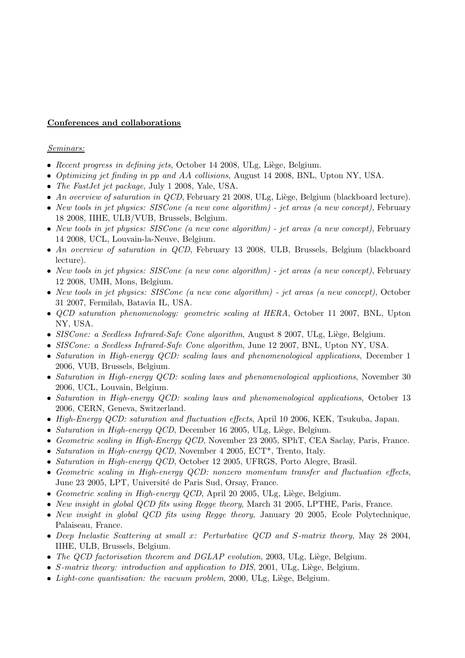### Conferences and collaborations

#### *Seminars:*

- *Recent progress in defining jets*, October 14 2008, ULg, Liège, Belgium.
- *Optimizing jet finding in* pp *and* AA *collisions*, August 14 2008, BNL, Upton NY, USA.
- *The FastJet jet package*, July 1 2008, Yale, USA.
- *An overview of saturation in QCD*, February 21 2008, ULg, Liège, Belgium (blackboard lecture).
- *New tools in jet physics: SISCone (a new cone algorithm) jet areas (a new concept)*, February 18 2008, IIHE, ULB/VUB, Brussels, Belgium.
- *New tools in jet physics: SISCone (a new cone algorithm) jet areas (a new concept)*, February 14 2008, UCL, Louvain-la-Neuve, Belgium.
- *An overview of saturation in QCD*, February 13 2008, ULB, Brussels, Belgium (blackboard lecture).
- *New tools in jet physics: SISCone (a new cone algorithm) jet areas (a new concept)*, February 12 2008, UMH, Mons, Belgium.
- *New tools in jet physics: SISCone (a new cone algorithm) jet areas (a new concept)*, October 31 2007, Fermilab, Batavia IL, USA.
- *QCD saturation phenomenology: geometric scaling at HERA*, October 11 2007, BNL, Upton NY, USA.
- *SISCone: a Seedless Infrared-Safe Cone algorithm*, August 8 2007, ULg, Liège, Belgium.
- *SISCone: a Seedless Infrared-Safe Cone algorithm*, June 12 2007, BNL, Upton NY, USA.
- *Saturation in High-energy QCD: scaling laws and phenomenological applications*, December 1 2006, VUB, Brussels, Belgium.
- *Saturation in High-energy QCD: scaling laws and phenomenological applications*, November 30 2006, UCL, Louvain, Belgium.
- *Saturation in High-energy QCD: scaling laws and phenomenological applications*, October 13 2006, CERN, Geneva, Switzerland.
- *High-Energy QCD: saturation and fluctuation effects*, April 10 2006, KEK, Tsukuba, Japan.
- *Saturation in High-energy QCD*, December 16 2005, ULg, Liège, Belgium.
- *Geometric scaling in High-Energy QCD*, November 23 2005, SPhT, CEA Saclay, Paris, France.
- *Saturation in High-energy QCD*, November 4 2005, ECT\*, Trento, Italy.
- *Saturation in High-energy QCD*, October 12 2005, UFRGS, Porto Alegre, Brasil.
- *Geometric scaling in High-energy QCD: nonzero momentum transfer and fluctuation effects*, June 23 2005, LPT, Université de Paris Sud, Orsay, France.
- *Geometric scaling in High-energy QCD*, April 20 2005, ULg, Liège, Belgium.
- *New insight in global QCD fits using Regge theory*, March 31 2005, LPTHE, Paris, France.
- *New insight in global QCD fits using Regge theory*, January 20 2005, Ecole Polytechnique, Palaiseau, France.
- *Deep Inelastic Scattering at small* x*: Perturbative QCD and* S*-matrix theory*, May 28 2004, IIHE, ULB, Brussels, Belgium.
- *The QCD factorisation theorem and DGLAP evolution*, 2003, ULg, Liège, Belgium.
- S-matrix theory: introduction and application to DIS, 2001, ULg, Liège, Belgium.
- *Light-cone quantisation: the vacuum problem*, 2000, ULg, Liège, Belgium.